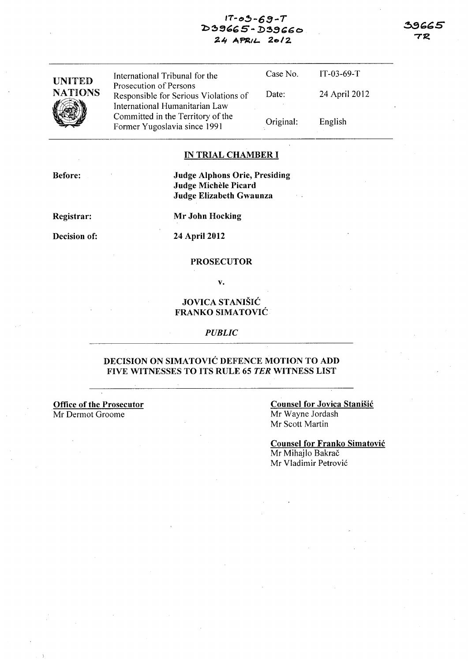# $17 - 03 - 69 - T$ 2:>~SC:;G *5* - *.D5!}(;t;* <sup>0</sup> 24 APRIL 2012

| <b>UNITED</b>  | International Tribunal for the                                                                      | Case No.  | $IT-03-69-T$  |
|----------------|-----------------------------------------------------------------------------------------------------|-----------|---------------|
| <b>NATIONS</b> | Prosecution of Persons<br>Responsible for Serious Violations of                                     | Date:     | 24 April 2012 |
|                | International Humanitarian Law<br>Committed in the Territory of the<br>Former Yugoslavia since 1991 | Original: | English       |

#### IN TRIAL CHAMBER I

Before:

## Judge Alphons Orie, Presiding Judge Michèle Picard Judge Elizabeth Gwaunza

Registrar:

Decision of:

Mr John Hocking

## 24 April 2012

### PROSECUTOR

v.

# JOVICA STANISIC FRANKO SIMATOVIC

#### *PUBLIC*

# DECISION ON SIMATOVIC DEFENCE MOTION TO ADD FIVE WITNESSES TO ITS RULE 65 *TER* WITNESS LIST

Office of the Prosecutor *Mt* Dermot Groome

Counsel for Jovica Stanisic Mr Wayne Jordash Mr Scott Martin

Counsel for Franko Simatovic Mr Mihajlo Bakrač Mr Vladimir Petrovic

アス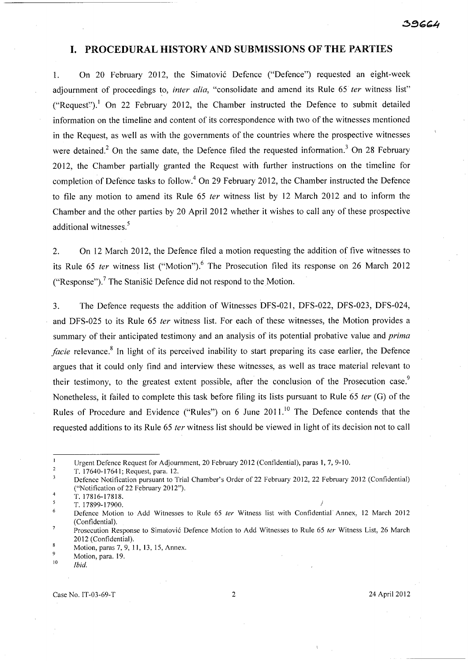# **I.** PROCEDURAL HISTORY AND SUBMISSiONS OF THE PARTIES

1. On 20 February 2012, the Simatovic Defence ("Defence") requested an eight-week adiournment of proceedings to, *inter alia*, "consolidate and amend its Rule 65 *ter* witness list" ("Request").<sup>1</sup> On 22 February 2012, the Chamber instructed the Defence to submit detailed information on the timeline and content of its correspondence with two of the witnesses mentioned in the Request, as well as with the governments of the countries where the prospective witnesses were detained.<sup>2</sup> On the same date, the Defence filed the requested information.<sup>3</sup> On 28 February 2012, the Chamber partially granted the Request with further instructions on the time line for completion of Defence tasks to follow.<sup>4</sup> On 29 February 2012, the Chamber instructed the Defence to file any motion to amend its Rule  $65$  ter witness list by 12 March 2012 and to inform the Chamber and the other parties by 20 April 2012 whether it wishes to call any of these prospective additional witnesses.<sup>5</sup>

2. On 12 March 2012, the Defence filed a motion requesting the addition of five witnesses to its Rule 65 ter witness list ("Motion").<sup>6</sup> The Prosecution filed its response on 26 March 2012 ("Response").? The Stanisic Defence did not respond to the Motion.

3. The Defence requests the addition of Witnesses DFS-021, DFS-022, DFS-023, DFS-024, and DFS-025 to its Rule 65 fer witness list. For each of these witnesses, the Motion provides a summary of their anticipated testimony and an analysis of its potential probative value and *prima facie* relevance.<sup>8</sup> In light of its perceived inability to start preparing its case earlier, the Defence argues that it could only find and interview these witnesses, as well as trace material relevant to their testimony, to the greatest extent possible, after the conclusion of the Prosecution case.<sup>9</sup> Nonetheless, it failed to complete this task before filing its lists pursuant to Rule 65 ter (G) of the Rules of Procedure and Evidence ("Rules") on 6 June  $2011$ <sup>10</sup> The Defence contends that the requested additions to its Rule 65 *ter* witness list should be viewed in light of its decision not to call

 $\pmb{\mathsf{l}}$ Urgent Defence Request for Adjournment, 20 February 2012 (Confidential), paras 1,7,9-10.

 $\overline{2}$ T. 17640-17641; Request, para. 12.

Case No. IT-03-69-T 2 24 April 2012

Defence Notification pursuant to Trial Chamber's Order of 22 February 2012, 22 February 2012 (Confidential)  $\mathbf{3}$ ("Notification of22 February 2012").

 $\overline{4}$ T. 17816-17818.

<sup>5</sup> T. 17899-17900. }

 $\boldsymbol{6}$ Defence Motion to Add Witnesses to Rule 65 fer Witness list with Confidential' Annex, 12 March 2012 (Confidential).

 $\overline{7}$ Prosecution Response to Simatović Defence Motion to Add Witnesses to Rule 65 ter Witness List, 26 March 2012 (Confidential). 8

<sup>9</sup>  Motion, paras 7, 9, 11, 13, 15, Annex.

Motion, para. 19.

<sup>10</sup>  *Ibid.*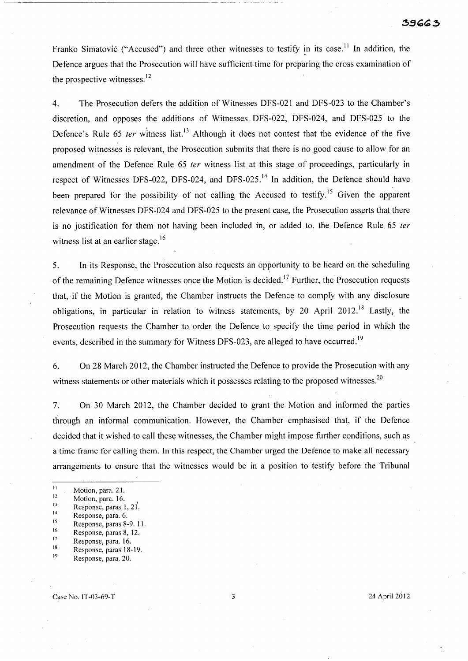Franko Simatović ("Accused") and three other witnesses to testify in its case.<sup>11</sup> In addition, the Defence argues that the Prosecution will have sufficient time for preparing the cross examination of the prospective witnesses. $^{12}$ 

4. The Prosecution defers the addition of Witnesses DFS-021 and DFS-023 to the Chamber's discretion, and opposes the additions of Witnesses DFS-022, DFS-024, and DFS-025 to the Defence's Rule 65 ter witness list.<sup>13</sup> Although it does not contest that the evidence of the five proposed witnesses is relevant, the Prosecution submits that there is no good cause to allow for an amendment of the Defence Rule 65 ter witness list at this stage of proceedings, particularly in respect of Witnesses DFS-022, DFS-024, and DFS-025.<sup>14</sup> In addition, the Defence should have been prepared for the possibility of not calling the Accused to testify.<sup>15</sup> Given the apparent relevance of Witnesses DFS-024 and DFS-025 to the present case, the Prosecution asserts that there is no justification for them not having been included in, or added to, the Defence Rule 65 ter witness list at an earlier stage.<sup>16</sup>

5. In its Response, the Prosecution also requests an opportunity to be heard on the scheduling of the remaining Defence witnesses once the Motion is decided.<sup>17</sup> Further, the Prosecution requests that, if the Motion is granted, the Chamber instructs the Defence to comply with any disclosure obligations, in particular in relation to witness statements, by 20 April 2012.<sup>18</sup> Lastly, the Prosecution requests the Chamber to order the Defence to specify the time period in which the events, described in the summary for Witness DFS-023, are alleged to have occurred.<sup>19</sup>

6. On 28 March 2012, the Chamber instructed the Defence to provide the Prosecution with any witness statements or other materials which it possesses relating to the proposed witnesses.<sup>20</sup>

7. On 30 March 2012, the Chamber decided to grant the Motion and informed the parties through an informal communication. However, the Chamber emphasised that, if the Defence decided that it wished to call these witnesses, the Chamber might impose further conditions, such as a time frame for calling them. In this respect, the Chamber urged the Defence to make all necessary arrangements to ensure that the witnesses would be in a position to testify before the Tribunal

- $\frac{11}{12}$  Motion, para. 21.
- <sup>12</sup> Motion, para. 16.<br>
Response, paras 1, 21<sup>'</sup>.
- 
- $14$  Response, para. 6.
- $^{15}$  Response, paras 8-9. 11.
- $\frac{16}{17}$  Response, paras 8, 12.
- $\frac{17}{18}$  Response, para. 16.
- <sup>18</sup> Response, paras 18-19.
- Response, para. 20.

Case No. IT-03-69-T 3 24 April 2012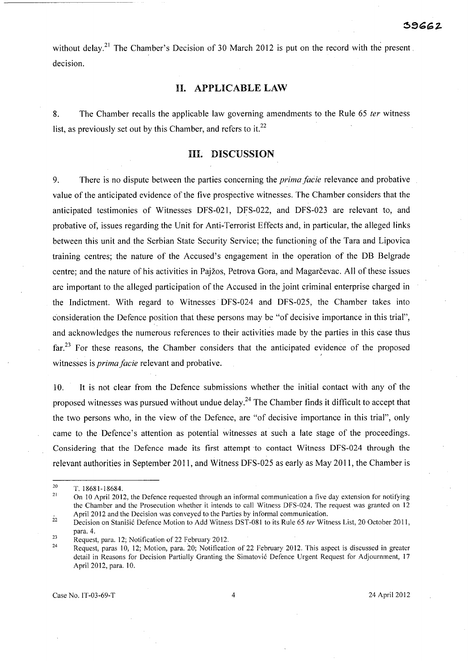without delay.<sup>21</sup> The Chamber's Decision of 30 March 2012 is put on the record with the present. decision.

#### H. APPLICABLE LAW

8. The Chamber recalls the applicable law governing amendments to the Rule 65 ter witness list, as previously set out by this Chamber, and refers to it.<sup>22</sup>

## HI. DISCUSSION

9. There is no dispute between the parties concerning the *prima facie* relevance and probative value of the anticipated evidence of the five prospective witnesses. The Chamber considers that the anticipated testimonies of Witnesses DFS-021, DFS-022, and DFS-023 are relevant to, and probative of, issues regarding the Unit for Anti-Terrorist Effects and, in particular, the alleged links between this unit and the Serbian State Security Service; the functioning of the Tara and Lipovica training centres; the nature of the Accused's engagement in the operation of the DB Belgrade centre; and the nature of his activities in Pajžos, Petrova Gora, and Magarcevac. All of these issues are important to the alleged participation of the Accused in the joint criminal enterprise charged in the Indictment. With regard to Witnesses DFS-024 and DFS-025, the Chamber takes into consideration the Defence position that these persons may be "of decisive importance in this trial", and acknowledges the numerous references to their activities made by the parties in this case thus far.<sup>23</sup> For these reasons, the Chamber considers that the anticipated evidence of the proposed witnesses is *prima facie* relevant and probative.

10. It is not clear from the Defence submissions whether the initial contact with any of the proposed witnesses was pursued without undue delay.<sup>24</sup> The Chamber finds it difficult to accept that the two persons who, in the view of the Defence, are "of decisive importance in this trial", only came to the Defence's attention as potential witnesses at such a late stage of the proceedings. Considering that the Defence made its first attempt to contact Witness DFS-024 through the relevant authorities in September 2011, and Witness DFS-025 as early as May 2011, the Chamber is

Case No. IT-03-69-T 4 24 April 2012

<sup>20</sup>  *T.18681-18684.* 

<sup>21</sup>  On 10 April 2012, the Defence requested through an informal communication a five day extension for notifying the Chamber and the Prosecution whether it intends to call Witness DFS-024. The request was granted on 12 April 2012 and the Decision was conveyed to the Parties by informal communication.

<sup>22</sup>  Decision on Stanišić Defence Motion to Add Witness DST-081 to its Rule 65 ter Witness List, 20 October 2011, para. 4.

<sup>23</sup>  Request, para. 12; Notification of 22 February 2012.

<sup>24</sup>  Request, paras 10, 12; Motion, para. 20; Notification of 22 February 2012. This aspect is discussed in greater detail in Reasons for Decision Partially Granting the Simatovic Defence Urgent Request for Adjournment, 17 April 2012, para. 10.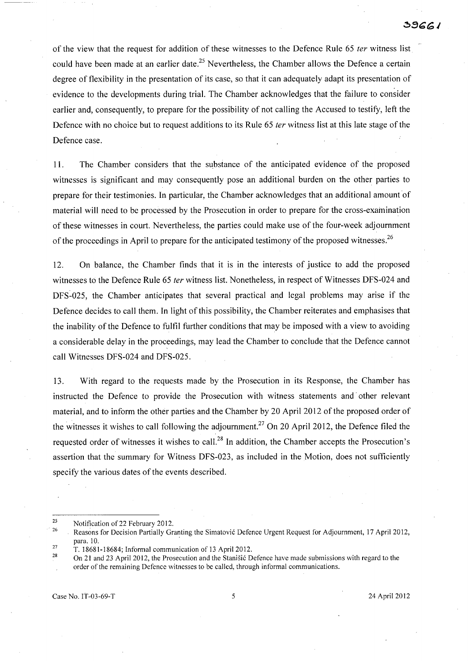of the view that the request for addition of these witnesses to the Defence Rule 65 ter witness list could have been made at an earlier date.<sup>25</sup> Nevertheless, the Chamber allows the Defence a certain degree of flexibility in the presentation of its case, so that it can adequately adapt its presentation of evidence to the developments during trial. The Chamber acknowledges that the failure to consider earlier and, consequently, to prepare for the possibility of not calling the Accused to testify, left the Defence with no choice but to request additions to its Rule 65 *ter* witness list at this late stage of the Defence case.

11. The Chamber considers that the substance of the anticipated evidence of the proposed witnesses is significant and may consequently pose an additional burden on the other parties to prepare for their testimonies. **In** particular, the Chamber acknowledges that an additional amount of material will need to be processed by the Prosecution in order to prepare for the cross-examination of these witnesses in court. Nevertheless, the parties could make use of the four-week adjournment of the proceedings in April to prepare for the anticipated testimony of the proposed witnesses.<sup>26</sup>

12. On balance, the Chamber finds that it is in the interests of justice to add the proposed witnesses to the Defence Rule 65 *ter* witness list. Nonetheless, in respect of Witnesses DFS-024 and DFS-025, the Chamber anticipates that several practical and legal problems may arise if the Defence decides to call them. **In** light of this possibility, the Chamber reiterates and emphasises that the inability of the Defence to fulfil further conditions that may be imposed with a view to avoiding a considerable delay in the proceedings, may lead the Chamber to conclude that the Defence cannot call Witnesses DFS-024 and DFS-025.

13. With regard to the requests made by the Prosecution in its Response, the Chamber has instructed the Defence to provide the Prosecution with witness statements and other relevant material, and to inform the other parties and the Chamber by 20 April 2012 of the proposed order of the witnesses it wishes to call following the adjournment.<sup>27</sup> On 20 April 2012, the Defence filed the requested order of witnesses it wishes to cal1.<sup>28</sup>**In** addition, the Chamber accepts the Prosecution's assertion that the summary for Witness DFS-023, as included in the Motion, does not sufficiently specify the various dates of the events described.

Case No. IT-03-69-T 5 24 April 2012

<sup>25</sup>  Notification of 22 February 2012.

<sup>-</sup> 26 Reasons for Decision Partially Granting the Simatovic Defence Urgent Request for Adjournment, 17 April 2012, para. 10.

<sup>27</sup>  T. 18681-18684; Informal communication of 13 April 2012.

<sup>28</sup>  On 21 and 23 April 2012, the Prosecution and the Stanisic Defence have made submissions with regard to the order of the remaining Defence witnesses to be called, through informal communications.